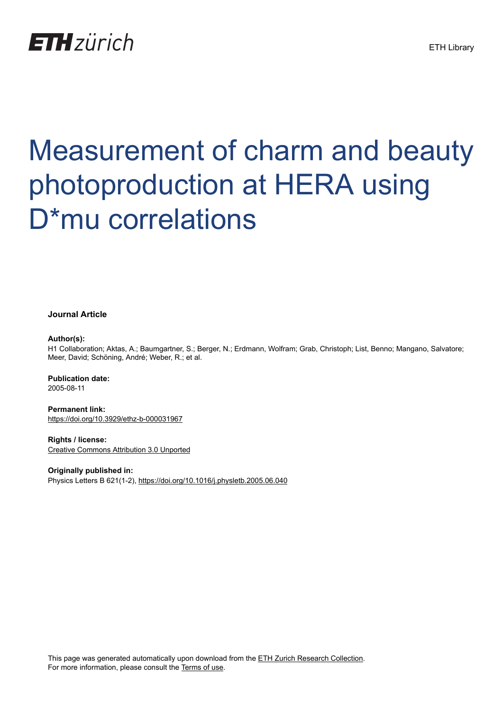

# Measurement of charm and beauty photoproduction at HERA using D<sup>\*</sup>mu correlations

# **Journal Article**

# **Author(s):**

H1 Collaboration; Aktas, A.; Baumgartner, S.; Berger, N.; Erdmann, Wolfram; Grab, Christoph; List, Benno; Mangano, Salvatore; Meer, David; Schöning, André; Weber, R.; et al.

**Publication date:** 2005-08-11

**Permanent link:** <https://doi.org/10.3929/ethz-b-000031967>

**Rights / license:** [Creative Commons Attribution 3.0 Unported](http://creativecommons.org/licenses/by/3.0/)

**Originally published in:** Physics Letters B 621(1-2), <https://doi.org/10.1016/j.physletb.2005.06.040>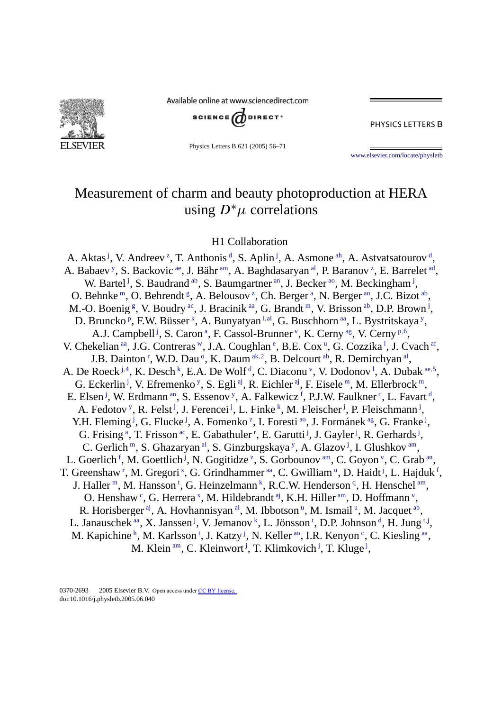

Available online at www.sciencedirect.com



PHYSICS LETTERS B

Physics Letters B 621 (2005) 56–71

[www.elsevier.com/locate/physletb](http://www.elsevier.com/locate/physletb)

# Measurement of charm and beauty photoproduction at HERA using  $D^* \mu$  correlations

# H1 Collaboration

A. Aktas<sup>[j](#page-3-0)</sup>, V. Andreev<sup>[z](#page-3-0)</sup>, T. Anthonis<sup>[d](#page-2-0)</sup>, S. Aplin<sup>j</sup>, A. Asmone<sup>ah</sup>, A. Astvatsatourov<sup>d</sup>, A. Babaev<sup>[y](#page-3-0)</sup>, S. Backovic<sup>ae</sup>, J. Bähr<sup>am</sup>, A. Baghdasaryan<sup>al</sup>, P. Baranov<sup>[z](#page-3-0)</sup>, E. Barrelet<sup>ad</sup>, W. Bartel<sup>[j](#page-3-0)</sup>, S. Baudrand <sup>ab</sup>, S. Baumgartner <sup>an</sup>, J. Becker <sup>ao</sup>, M. Beckingham<sup>j</sup>, O. Behnke <sup>m</sup>, O. Behrendt<sup>[g](#page-3-0)</sup>, A. Belousov<sup>[z](#page-3-0)</sup>, Ch. Berger<sup>[a](#page-2-0)</sup>, N. Berger<sup>an</sup>, J.C. Bizot<sup>ab</sup>, M.-O. Boeni[g](#page-3-0)<sup>g</sup>, V. Boudry<sup>ac</sup>, J. Bracinik<sup>aa</sup>, G. Brandt<sup>m</sup>, V. Brisson<sup>ab</sup>, D.P. Brown<sup>[j](#page-3-0)</sup>, D. Bruncko<su[p](#page-3-0)>p</sup>, F.W. Büsser<sup>[k](#page-3-0)</sup>, A. Bunyatyan <sup>[l](#page-3-0),al</sup>, G. Buschhorn <sup>aa</sup>, L. B[y](#page-3-0)stritskaya <sup>y</sup>, A.J. Campbell<sup>[j](#page-3-0)</sup>, S. C[a](#page-2-0)ron<sup>a</sup>, F. Cassol-Brunner<sup>[v](#page-3-0)</su[p](#page-3-0)>, K. Cerny<sup>ag</sup>, V. Cerny<sup>p,[6](#page-4-0)</sup>, V. Chekelian [aa,](#page-3-0) J.G. Contr[e](#page-2-0)ras W, J.A. Co[u](#page-3-0)ghlan <sup>e</sup>, B.E. Cox <sup>u</sup>, G. Cozz[i](#page-3-0)ka <sup>i</sup>, J. Cvach [af,](#page-3-0) J.B. Dainton<sup>[r](#page-3-0)</sup>, W.D. Dau<sup>[o](#page-3-0)</sup>, K. Daum<sup>[ak](#page-3-0),[2](#page-4-0)</sup>, B. Delcourt<sup>ab</sup>, R. Demirchyan<sup>al</sup>, A. De Roeck<sup>[j](#page-3-0),[4](#page-4-0)</sup>, K. Desch<sup>[k](#page-3-0)</sup>, E.A. De Wolf<sup>[d](#page-2-0)</sup>, C. Diaconu<sup>[v](#page-3-0)</sup>, V. Dodonov<sup>1</sup>, A. Dubak<sup>[ae](#page-3-0),[5](#page-4-0)</sup>, G. Eckerlin<sup>[j](#page-3-0)</sup>, V. Efremenko<sup>[y](#page-3-0)</sup>, S. Egli<sup>aj</sup>, R. Eichler<sup>aj</sup>, F. Eisele<sup>m</sup>, M. Ellerbrock<sup>m</sup>, E. Elsen<sup>[j](#page-3-0)</sup>, W. Erdmann<sup>an</sup>, S. Essenov<sup>[y](#page-3-0)</sup>, A. Falkewicz<sup>[f](#page-2-0)</sup>, P.J.W. Faulkner<sup>[c](#page-2-0)</sup>, L. Favart<sup>[d](#page-2-0)</sup>, A. Fedotov<sup>[y](#page-3-0)</sup>, R. Felst<sup>[j](#page-3-0)</sup>, J. Ferencei<sup>j</sup>, L. Fin[k](#page-3-0)e<sup>k</sup>, M. Fleischer<sup>j</sup>, P. Fleischmann<sup>j</sup>, Y.H. Fleming<sup>[j](#page-3-0)</sup>, G. Flucke<sup>j</sup>, A. Fomenko<sup>[z](#page-3-0)</sup>, I. Foresti<sup>ao</sup>, J. Formánek<sup>ag</sup>, G. Franke<sup>j</sup>, G. Frising<sup>[a](#page-2-0)</sup>, T. F[r](#page-3-0)isson<sup>ac</sup>, E. Gabathuler<sup>r</sup>, E. Garutti<sup>[j](#page-3-0)</sup>, J. Gayler<sup>j</sup>, R. Gerhards<sup>j</sup>, C. Gerlich<sup>m</sup>, S. Ghazar[y](#page-3-0)an<sup>al</sup>, S. Ginzburgskaya<sup>y</sup>, A. Glazov<sup>[j](#page-3-0)</sup>, I. Glushkov<sup>am</sup>, L. Goerlich<sup>[f](#page-2-0)</sup>, M. Goettlich<sup>[j](#page-3-0)</sup>, N. Gogitid[z](#page-3-0)e<sup>z</sup>, S. Gorbouno[v](#page-3-0)<sup>am</sup>, C. Goyon<sup>v</sup>, C. Grab<sup>an</sup>, T. G[r](#page-3-0)een[s](#page-3-0)haw<s[u](#page-3-0)p>r</sup>, M. Gregori<sup>s</sup>, G. Grindhammer<sup>aa</sup>, C. Gwilliam<sup>u</sup>, D. Haidt<sup>[j](#page-3-0)</sup>, L. Hajduk<sup>[f](#page-2-0)</sup>, J. Haller<sup>m</sup>, M. Hansson<sup>[t](#page-3-0)</sup>, G. Heinzelmann<sup>[k](#page-3-0)</sup>, R.C.W. Henderson<sup>[q](#page-3-0)</sup>, H. Henschel<sup>am</sup>, O. Henshaw<sup>[c](#page-2-0)</sup>, G. Herrera<sup>[x](#page-3-0)</sup>, M. Hildebrandt<sup>aj</sup>, K.H. Hiller<sup>am</sup>, D. Hoffmann<sup>[v](#page-3-0)</sup>, R. Horisberger<s[u](#page-3-0)p>aj</sup>, A. Hovhannisyan<sup>al</sup>, M. Ibbotson<sup>u</sup>, M. Ismail<sup>u</sup>, M. Jacquet<sup>ab</sup>, L. Janauschek <sup>aa</sup>, X. Janssen <sup>[j](#page-3-0)</sup>, V. Jemanov <sup>[k](#page-3-0)</sup>, L. Jönsson <sup>[t](#page-3-0)</sup>, D.P. Johnson <sup>[d](#page-2-0)</sup>, H. Jung <sup>t, j</sup>, M. Kapic[h](#page-3-0)ine <sup>h</sup>, M. Karlsson <sup>[t](#page-3-0)</sup>, J. Katzy <sup>[j](#page-3-0)</sup>, N. Keller <sup>ao</sup>, I.R. Kenyon <sup>[c](#page-2-0)</sup>, C. Kiesling <sup>aa</sup>, M. Klein<sup>am</sup>, C. Kleinwort<sup>[j](#page-3-0)</sup>, T. Klimkovich<sup>j</sup>, T. Kluge<sup>j</sup>,

0370-2693 © 2005 Elsevier B.V. Open access under [CC BY license.](http://creativecommons.org/licenses/by/3.0/) doi:10.1016/j.physletb.2005.06.040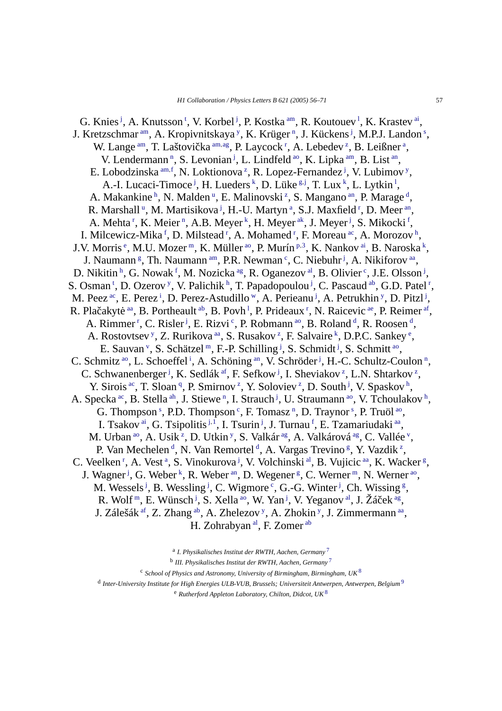<span id="page-2-0"></span>G. Knies<sup>[j](#page-3-0)</sup>, A. Knu[t](#page-3-0)sson<sup>t</sup>, V. Korbe[l](#page-3-0)<sup>j</sup>, P. Kostka<sup>am</sup>, R. Koutouev<sup>1</sup>, K. Krastev<sup>ai</sup>, J. Kretzschmar <sup>am</sup>, A. Kropivnitska[y](#page-3-0)a <sup>y</sup>, K. Krüger <sup>[n](#page-3-0)</sup>, J. Kückens <sup>[j](#page-3-0)</[s](#page-3-0)up>, M.P.J. Landon <sup>s</sup>, W. Lange <sup>am</sup>, T. Laštovička <sup>[am,](#page-3-0) ag</sup>, P. Laycock<sup>[r](#page-3-0)</sup>, A. Lebedev<sup>2</sup>, B. Leißner<sup>a</sup>, V. Le[n](#page-3-0)dermann<sup>n</sup>, S. Levonian<sup>[j](#page-3-0)</sup>, L. Lindfeld<sup>ao</sup>, K. Lipka<sup>am</sup>, B. List<sup>an</sup>, E. Lobodzinska <sup>[am](#page-3-0), f</sup>, N. Loktionova<sup>2</sup>, R. Lope[z](#page-3-0)-Fernandez<sup>[j](#page-3-0)</sup>, V. Lubimov<sup>[y](#page-3-0)</sup>, A.-I. Lucaci-Timoce<sup> [j](#page-3-0)</sup>, H. Lueders <sup>[k](#page-3-0)</sup>, D. Lüke <sup>[g](#page-3-0), j</sup>, T. Lux <sup>k</sup>, L. Lytkin <sup>1</sup>, A. Makankine<sup>[h](#page-3-0)</s[u](#page-3-0)p>, N. Malden<sup>u</sup>, E. Malinovski<sup>[z](#page-3-0)</sup>, S. Mangano<sup>an</sup>, P. Marage<sup>d</sup>, R. Marshall<s[u](#page-3-0)p>u</sup>, M. Martisikova<sup>[j](#page-3-0)</sup>, H.-U. Ma[r](#page-3-0)tyn<sup>a</sup>, S.J. Maxfield<sup>r</sup>, D. Meer<sup>an</sup>, A. Mehta<sup>[r](#page-3-0)</sup>, K. Meier<sup>[n](#page-3-0)</sup>, A.B. Meyer<sup>[k](#page-3-0)</sup>, H. Meyer<sup>ak</sup>, J. Meyer<sup>[j](#page-3-0)</sup>, S. Mikocki<sup>f</sup>, I. Milcewicz-Mika<sup>f</sup>, D. Milstead<sup>[r](#page-3-0)</sup>, A. Mo[h](#page-3-0)amed<sup>r</sup>, F. Moreau<sup>ac</sup>, A. Morozov<sup>h</sup>, J.V. Morris <su[p](#page-3-0)>e</sup>, M.U. Mozer <sup>m</sup>, K. Müller <sup>ao</sup>, P. Murín <sup>p,[3](#page-4-0)</sup>, K. Nan[k](#page-3-0)ov <sup>ai</sup>, B. Naroska <sup>k</sup>, J. Naumann<sup>[g](#page-3-0)</sup>, Th. Naumann<sup>am</sup>, P.R. Newman<sup>c</sup>, C. Niebuhr<sup>[j](#page-3-0)</sup>, A. Nikiforov<sup>aa</sup>, D. Nikitin <sup>[h](#page-3-0)</sup>, G. Nowak <sup>f</sup>, M. Nozicka <sup>ag</sup>, R. Oganezov <sup>al</sup>, B. Olivier <sup>c</sup>, J.E. Olsson <sup>[j](#page-3-0)</sup>, S. Osman<sup>[t](#page-3-0)</sup>, D. Ozerov<sup>[y](#page-3-0)</sup>, V. Palic[h](#page-3-0)ik<sup>h</sup>, T. Papadopoulou<sup>[j](#page-3-0)</sup>, C. Pascaud<sup>ab</sup>, G.D. Patel<sup>[r](#page-3-0)</sup>, M. Peez<sup>ac</sup>, E. Perez<sup>[i](#page-3-0)</sup>, D. Perez-Astudillo<sup>w</sup>, A. Perieanu<sup>[j](#page-3-0)</sup>, A. Petrukhin<sup>[y](#page-3-0)</sup>, D. Pitzl<sup>j</sup>, R. P[l](#page-3-0)ačakytė <sup>aa</sup>, B. Po[r](#page-3-0)theault <sup>ab</sup>, B. Povh<sup>1</sup>, P. Prideaux<sup>r</sup>, N. Raicevic <sup>ae</sup>, P. Reimer <sup>af</sup>, A. Rimme[r](#page-3-0)<sup>r</sup>, C. Risler<sup>[j](#page-3-0)</sup>, E. Rizvi<sup>c</sup>, P. Robmann<sup>ao</sup>, B. Roland<sup>d</sup>, R. Roosen<sup>d</sup>, A. Rostovtsev<sup>[y](#page-3-0)</sup>, Z. Rurikova<sup>aa</sup>, S. Rusakov<sup>[z](#page-3-0)</sup>, F. Salvaire<sup>[k](#page-3-0)</sup>, D.P.C. Sankey<sup>e</sup>, E. Sau[v](#page-3-0)an<sup>v</sup>, S. Schätzel<sup>m</sup>, F.-P. Schilling<sup>[j](#page-3-0)</sup>, S. Schmidt<sup>j</sup>, S. Schmitt<sup>ao</sup>, C. Schm[i](#page-3-0)tz<sup>ao</sup>, L. Schoeffel<sup>i</sup>, A. Schöning<sup>an</sup>, V. Schröder<sup>[j](#page-3-0)</sup>, H.-C. Schultz-Coulo[n](#page-3-0)<sup>n</sup>, C. Schwanenberger<sup>[j](#page-3-0)</sup>, K. Sedlák<sup>af</sup>, F. Sefkow<sup>j</sup>, I. Sheviakov<sup>[z](#page-3-0)</sup>, L.N. Shtarkov<sup>z</sup>, Y. Sirois <sup>ac</sup>, T. Sloan<sup>[q](#page-3-0)</sup>, P. Smirnov<sup>[z](#page-3-0)</sup>, Y. Soloviev<sup>z</sup>, D. South<sup>[j](#page-3-0)</sup>, V. Spaskov<sup>[h](#page-3-0)</sup>, A. Specka <sup>ac</sup>, B. Stella <sup>ah</sup>, J. Stiewe <sup>[n](#page-3-0)</sup>, I. Strauch <sup>[j](#page-3-0)</sup>, U. Straumann <sup>ao</sup>, V. Tc[h](#page-3-0)oulakov <sup>h</sup>, G. Thomp[s](#page-3-0)o[n](#page-3-0)<sup>s</sup>, P.D. Thompson<sup>c</sup>, F. Tomasz<sup>n</sup>, D. Traynor<sup>s</sup>, P. Truöl<sup>ao</sup>, I. Tsakov <sup>ai</sup>, G. Tsipolitis <sup>[j](#page-3-0), [1](#page-4-0)</sup>, I. Tsurin <sup>j</sup>, J. Turnau <sup>f</sup>, E. Tzamariudaki <sup>aa</sup>, M. Urban<sup>ao</sup>, A. Usik<sup>[z](#page-3-0)</sup>, D. Utkin<sup>[y](#page-3-0)</sup>, S. Valkár<sup>ag</sup>, A. Valkáro[v](#page-3-0)á<sup>ag</sup>, C. Vallée<sup>v</sup>, P. Van Mechelen<sup>d</sup>, N. Van Remortel<sup>d</sup>, A. Var[g](#page-3-0)as Trevino<sup>g</sup>, Y. Va[z](#page-3-0)dik<sup>2</sup>, C. Veelken<sup>[r](#page-3-0)</sup>, A. Vest<sup>a</sup>, S. Vinokurova<sup>[j](#page-3-0)</sup>, V. Volchinski [al,](#page-3-0) B. Vujicic [aa,](#page-3-0) K. Wacker<sup>[g](#page-3-0)</sup>, J. Wagner<sup>[j](#page-3-0)</sup>, G. Weber<sup>[k](#page-3-0)</sup>, R. Weber<sup>an</sup>, D. We[g](#page-3-0)ener<sup>g</sup>, C. Werner<sup>m</sup>, N. Werner<sup>ao</sup>, M. Wessels<sup>[j](#page-3-0)</sup>, B. Wesslin[g](#page-3-0)<sup>j</sup>, C. Wigmore<sup>c</sup>, G.-G. Winter<sup>j</sup>, Ch. Wissing<sup>g</sup>, R. Wolf <sup>m</sup>, E. Wünsch <sup>[j](#page-3-0)</sup>, S. Xella <sup>ao</sup>, W. Yan <sup>j</sup>, V. Yeganov <sup>al</sup>, J. Žáček <sup>ag</sup>, J. Zálešák <sup>af</sup>, Z. Zhang <sup>ab</sup>, A. Zhelezov <sup>[y](#page-3-0)</sup>, A. Zhokin <sup>y</sup>, J. Zimmermann <sup>aa</sup>, H. Zohrabyan [al,](#page-3-0) F. Zomer [ab](#page-3-0)

<sup>a</sup> *I. Physikalisches Institut der RWTH, Aachen, Germany* [7](#page-4-0)

<sup>b</sup> *III. Physikalisches Institut der RWTH, Aachen, Germany* [7](#page-4-0)

<sup>c</sup> *School of Physics and Astronomy, University of Birmingham, Birmingham, UK* [8](#page-4-0)

<sup>d</sup> *Inter-University Institute for High Energies ULB-VUB, Brussels; Universiteit Antwerpen, Antwerpen, Belgium* [9](#page-4-0)

<sup>e</sup> *Rutherford Appleton Laboratory, Chilton, Didcot, UK* [8](#page-4-0)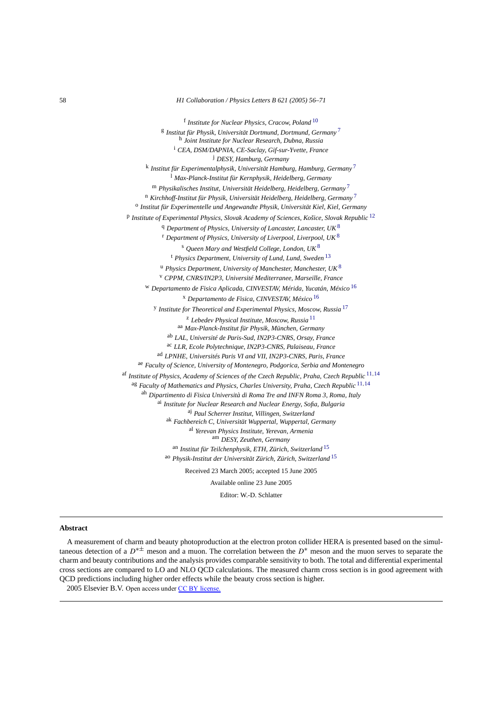<span id="page-3-0"></span><sup>f</sup> *Institute for Nuclear Physics, Cracow, Poland* [10](#page-4-0) <sup>g</sup> *Institut für Physik, Universität Dortmund, Dortmund, Germany* [7](#page-4-0) <sup>h</sup> *Joint Institute for Nuclear Research, Dubna, Russia* <sup>i</sup> *CEA, DSM/DAPNIA, CE-Saclay, Gif-sur-Yvette, France* <sup>j</sup> *DESY, Hamburg, Germany* <sup>k</sup> *Institut für Experimentalphysik, Universität Hamburg, Hamburg, Germany* [7](#page-4-0) <sup>l</sup> *Max-Planck-Institut für Kernphysik, Heidelberg, Germany* <sup>m</sup> *Physikalisches Institut, Universität Heidelberg, Heidelberg, Germany* [7](#page-4-0) <sup>n</sup> *Kirchhoff-Institut für Physik, Universität Heidelberg, Heidelberg, Germany* [7](#page-4-0) <sup>o</sup> *Institut für Experimentelle und Angewandte Physik, Universität Kiel, Kiel, Germany* <sup>p</sup> *Institute of Experimental Physics, Slovak Academy of Sciences, Košice, Slovak Republic* [12](#page-4-0) <sup>q</sup> *Department of Physics, University of Lancaster, Lancaster, UK*[8](#page-4-0) <sup>r</sup> *Department of Physics, University of Liverpool, Liverpool, UK*[8](#page-4-0) <sup>s</sup> *Queen Mary and Westfield College, London, UK*[8](#page-4-0) <sup>t</sup> *Physics Department, University of Lund, Lund, Sweden* [13](#page-4-0) <sup>u</sup> *Physics Department, University of Manchester, Manchester, UK* [8](#page-4-0) <sup>v</sup> *CPPM, CNRS/IN2P3, Université Mediterranee, Marseille, France* <sup>w</sup> *Departamento de Fisica Aplicada, CINVESTAV, Mérida, Yucatán, México* [16](#page-4-0) <sup>x</sup> *Departamento de Fisica, CINVESTAV, México* [16](#page-4-0) <sup>y</sup> *Institute for Theoretical and Experimental Physics, Moscow, Russia* [17](#page-4-0) <sup>z</sup> *Lebedev Physical Institute, Moscow, Russia* [11](#page-4-0) aa *Max-Planck-Institut für Physik, München, Germany* ab *LAL, Université de Paris-Sud, IN2P3-CNRS, Orsay, France* ac *LLR, Ecole Polytechnique, IN2P3-CNRS, Palaiseau, France* ad *LPNHE, Universités Paris VI and VII, IN2P3-CNRS, Paris, France* ae *Faculty of Science, University of Montenegro, Podgorica, Serbia and Montenegro* af *Institute of Physics, Academy of Sciences of the Czech Republic, Praha, Czech Republic* [11](#page-4-0)*,*[14](#page-4-0) ag *Faculty of Mathematics and Physics, Charles University, Praha, Czech Republic* [11](#page-4-0)*,*[14](#page-4-0) ah *Dipartimento di Fisica Università di Roma Tre and INFN Roma 3, Roma, Italy* ai *Institute for Nuclear Research and Nuclear Energy, Sofia, Bulgaria* aj *Paul Scherrer Institut, Villingen, Switzerland* ak *Fachbereich C, Universität Wuppertal, Wuppertal, Germany* al *Yerevan Physics Institute, Yerevan, Armenia* am *DESY, Zeuthen, Germany* an *Institut für Teilchenphysik, ETH, Zürich, Switzerland* [15](#page-4-0) ao *Physik-Institut der Universität Zürich, Zürich, Switzerland* [15](#page-4-0) Received 23 March 2005; accepted 15 June 2005 Available online 23 June 2005

Editor: W.-D. Schlatter

#### **Abstract**

A measurement of charm and beauty photoproduction at the electron proton collider HERA is presented based on the simultaneous detection of a *D*∗± meson and a muon. The correlation between the *D*∗ meson and the muon serves to separate the charm and beauty contributions and the analysis provides comparable sensitivity to both. The total and differential experimental cross sections are compared to LO and NLO QCD calculations. The measured charm cross section is in good agreement with QCD predictions including higher order effects while the beauty cross section is higher. 2005 Elsevier B.V. Open access under [CC BY license.](http://creativecommons.org/licenses/by/3.0/)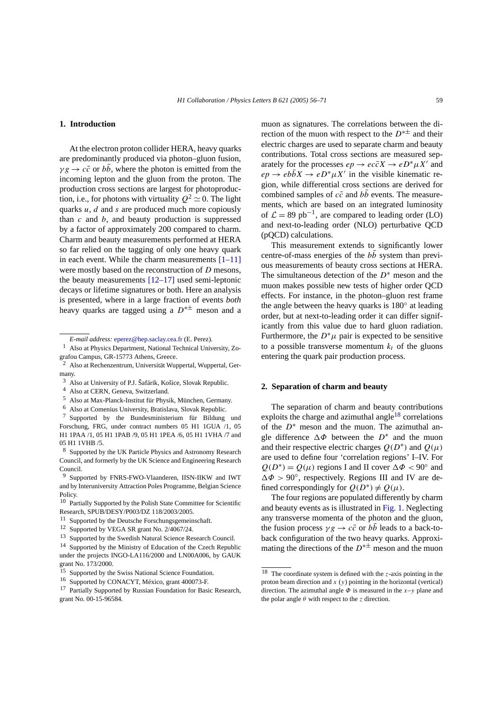# <span id="page-4-0"></span>**1. Introduction**

At the electron proton collider HERA, heavy quarks are predominantly produced via photon–gluon fusion,  $\gamma g \to c\bar{c}$  or  $b\bar{b}$ , where the photon is emitted from the incoming lepton and the gluon from the proton. The production cross sections are largest for photoproduction, i.e., for photons with virtuality  $Q^2 \simeq 0$ . The light quarks *u*, *d* and *s* are produced much more copiously than  $c$  and  $b$ , and beauty production is suppressed by a factor of approximately 200 compared to charm. Charm and beauty measurements performed at HERA so far relied on the tagging of only one heavy quark in each event. While the charm measurements [\[1–11\]](#page-15-0) were mostly based on the reconstruction of *D* mesons, the beauty measurements [\[12–17\]](#page-15-0) used semi-leptonic decays or lifetime signatures or both. Here an analysis is presented, where in a large fraction of events *both* heavy quarks are tagged using a *D*∗± meson and a

<sup>12</sup> Supported by VEGA SR grant No. 2/4067/24.

<sup>14</sup> Supported by the Ministry of Education of the Czech Republic under the projects INGO-LA116/2000 and LN00A006, by GAUK grant No. 173/2000.

muon as signatures. The correlations between the direction of the muon with respect to the *D*∗± and their electric charges are used to separate charm and beauty contributions. Total cross sections are measured separately for the processes  $ep \rightarrow ec\bar{c}X \rightarrow eD^*\mu X'$  and  $ep \rightarrow eb\bar{b}X \rightarrow eD^*\mu X'$  in the visible kinematic region, while differential cross sections are derived for combined samples of  $c\bar{c}$  and  $b\bar{b}$  events. The measurements, which are based on an integrated luminosity of  $\mathcal{L} = 89$  pb<sup>-1</sup>, are compared to leading order (LO) and next-to-leading order (NLO) perturbative QCD (pQCD) calculations.

This measurement extends to significantly lower centre-of-mass energies of the  $b\bar{b}$  system than previous measurements of beauty cross sections at HERA. The simultaneous detection of the *D*∗ meson and the muon makes possible new tests of higher order QCD effects. For instance, in the photon–gluon rest frame the angle between the heavy quarks is 180◦ at leading order, but at next-to-leading order it can differ significantly from this value due to hard gluon radiation. Furthermore, the  $D^*\mu$  pair is expected to be sensitive to a possible transverse momentum  $k_t$  of the gluons entering the quark pair production process.

## **2. Separation of charm and beauty**

The separation of charm and beauty contributions exploits the charge and azimuthal angle<sup>18</sup> correlations of the  $D^*$  meson and the muon. The azimuthal angle difference  $\Delta \Phi$  between the  $D^*$  and the muon and their respective electric charges  $Q(D^*)$  and  $Q(\mu)$ are used to define four 'correlation regions' I–IV. For  $Q(D^*) = Q(\mu)$  regions I and II cover  $\Delta \Phi < 90^\circ$  and *-Φ >* 90◦, respectively. Regions III and IV are defined correspondingly for  $Q(D^*) \neq Q(\mu)$ .

The four regions are populated differently by charm and beauty events as is illustrated in [Fig. 1.](#page-5-0) Neglecting any transverse momenta of the photon and the gluon, the fusion process  $\gamma g \to c\bar{c}$  or  $b\bar{b}$  leads to a back-toback configuration of the two heavy quarks. Approximating the directions of the  $D^{* \pm}$  meson and the muon

*E-mail address:* [eperez@hep.saclay.cea.fr](mailto:eperez@hep.saclay.cea.fr) (E. Perez).

<sup>1</sup> Also at Physics Department, National Technical University, Zografou Campus, GR-15773 Athens, Greece.

<sup>2</sup> Also at Rechenzentrum, Universität Wuppertal, Wuppertal, Germany.

<sup>3</sup> Also at University of P.J. Šafárik, Košice, Slovak Republic.

<sup>4</sup> Also at CERN, Geneva, Switzerland.

<sup>5</sup> Also at Max-Planck-Institut für Physik, München, Germany.

<sup>6</sup> Also at Comenius University, Bratislava, Slovak Republic.

<sup>7</sup> Supported by the Bundesministerium für Bildung und Forschung, FRG, under contract numbers 05 H1 1GUA /1, 05 H1 1PAA /1, 05 H1 1PAB /9, 05 H1 1PEA /6, 05 H1 1VHA /7 and 05 H1 1VHB /5.

<sup>8</sup> Supported by the UK Particle Physics and Astronomy Research Council, and formerly by the UK Science and Engineering Research Council.

<sup>9</sup> Supported by FNRS-FWO-Vlaanderen, IISN-IIKW and IWT and by Interuniversity Attraction Poles Programme, Belgian Science Policy.

<sup>&</sup>lt;sup>10</sup> Partially Supported by the Polish State Committee for Scientific Research, SPUB/DESY/P003/DZ 118/2003/2005.

<sup>&</sup>lt;sup>11</sup> Supported by the Deutsche Forschungsgemeinschaft.

<sup>&</sup>lt;sup>13</sup> Supported by the Swedish Natural Science Research Council.

<sup>15</sup> Supported by the Swiss National Science Foundation.

<sup>16</sup> Supported by CONACYT, México, grant 400073-F.

<sup>17</sup> Partially Supported by Russian Foundation for Basic Research, grant No. 00-15-96584.

<sup>18</sup> The coordinate system is defined with the *z*-axis pointing in the proton beam direction and *x* (*y*) pointing in the horizontal (vertical) direction. The azimuthal angle  $\Phi$  is measured in the *x*-*y* plane and the polar angle  $\theta$  with respect to the *z* direction.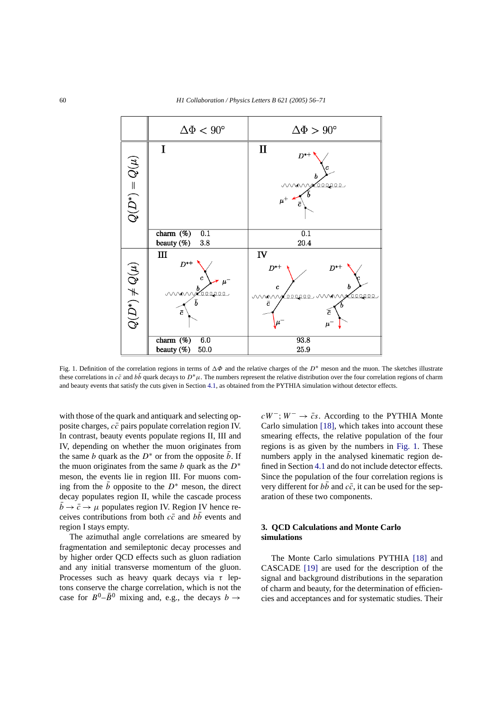<span id="page-5-0"></span>

Fig. 1. Definition of the correlation regions in terms of ΔΦ and the relative charges of the D<sup>∗</sup> meson and the muon. The sketches illustrate these correlations in  $c\bar{c}$  and  $b\bar{b}$  quark decays to  $D^*$ *µ*. The numbers represent the relative distribution over the four correlation regions of charm and beauty events that satisfy the cuts given in Section [4.1,](#page-7-0) as obtained from the PYTHIA simulation without detector effects.

with those of the quark and antiquark and selecting opposite charges,  $c\bar{c}$  pairs populate correlation region IV. In contrast, beauty events populate regions II, III and IV, depending on whether the muon originates from the same *b* quark as the  $D^*$  or from the opposite  $\bar{b}$ . If the muon originates from the same *b* quark as the *D*∗ meson, the events lie in region III. For muons coming from the  $\bar{b}$  opposite to the  $D^*$  meson, the direct decay populates region II, while the cascade process  $\bar{b} \rightarrow \bar{c} \rightarrow \mu$  populates region IV. Region IV hence receives contributions from both  $c\bar{c}$  and  $b\bar{b}$  events and region I stays empty.

The azimuthal angle correlations are smeared by fragmentation and semileptonic decay processes and by higher order QCD effects such as gluon radiation and any initial transverse momentum of the gluon. Processes such as heavy quark decays via *τ* leptons conserve the charge correlation, which is not the case for  $B^0$ – $\bar{B}^0$  mixing and, e.g., the decays *b*  $\rightarrow$ 

 $cW^-$ ;  $W^- \rightarrow \bar{c}s$ . According to the PYTHIA Monte Carlo simulation [\[18\],](#page-15-0) which takes into account these smearing effects, the relative population of the four regions is as given by the numbers in Fig. 1. These numbers apply in the analysed kinematic region defined in Section [4.1](#page-7-0) and do not include detector effects. Since the population of the four correlation regions is very different for  $b\bar{b}$  and  $c\bar{c}$ , it can be used for the separation of these two components.

# **3. QCD Calculations and Monte Carlo simulations**

The Monte Carlo simulations PYTHIA [\[18\]](#page-15-0) and CASCADE [\[19\]](#page-15-0) are used for the description of the signal and background distributions in the separation of charm and beauty, for the determination of efficiencies and acceptances and for systematic studies. Their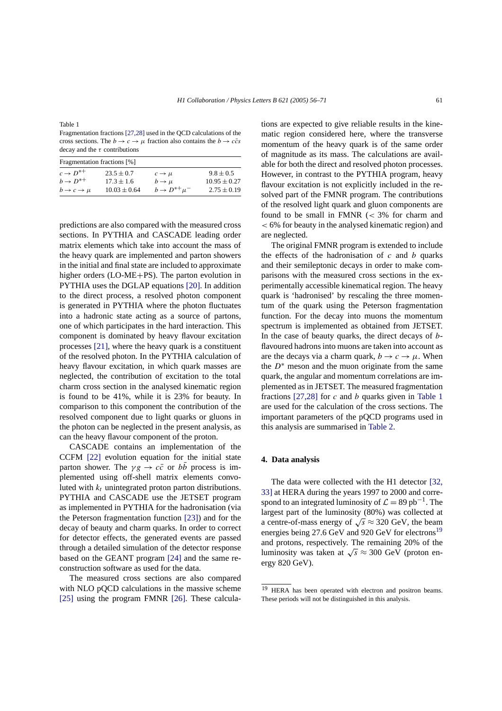Fragmentation fractions [\[27,28\]](#page-15-0) used in the QCD calculations of the cross sections. The  $b \rightarrow c \rightarrow \mu$  fraction also contains the  $b \rightarrow c\bar{c}s$ decay and the *τ* contributions

Table 1

| Fragmentation fractions [%]       |                  |                              |                  |  |  |  |
|-----------------------------------|------------------|------------------------------|------------------|--|--|--|
| $c \rightarrow D^{*+}$            | $23.5 \pm 0.7$   | $c \rightarrow \mu$          | $9.8 \pm 0.5$    |  |  |  |
| $b \rightarrow D^{*+}$            | $17.3 \pm 1.6$   | $b \rightarrow \mu$          | $10.95 \pm 0.27$ |  |  |  |
| $b \rightarrow c \rightarrow \mu$ | $10.03 \pm 0.64$ | $b \rightarrow D^{*+} \mu^-$ | $2.75 \pm 0.19$  |  |  |  |

predictions are also compared with the measured cross sections. In PYTHIA and CASCADE leading order matrix elements which take into account the mass of the heavy quark are implemented and parton showers in the initial and final state are included to approximate higher orders (LO-ME+PS). The parton evolution in PYTHIA uses the DGLAP equations [\[20\].](#page-15-0) In addition to the direct process, a resolved photon component is generated in PYTHIA where the photon fluctuates into a hadronic state acting as a source of partons, one of which participates in the hard interaction. This component is dominated by heavy flavour excitation processes [\[21\],](#page-15-0) where the heavy quark is a constituent of the resolved photon. In the PYTHIA calculation of heavy flavour excitation, in which quark masses are neglected, the contribution of excitation to the total charm cross section in the analysed kinematic region is found to be 41%, while it is 23% for beauty. In comparison to this component the contribution of the resolved component due to light quarks or gluons in the photon can be neglected in the present analysis, as can the heavy flavour component of the proton.

CASCADE contains an implementation of the CCFM [\[22\]](#page-15-0) evolution equation for the initial state parton shower. The  $\gamma g \to c\bar{c}$  or *bb* process is implemented using off-shell matrix elements convoluted with  $k_t$  unintegrated proton parton distributions. PYTHIA and CASCADE use the JETSET program as implemented in PYTHIA for the hadronisation (via the Peterson fragmentation function [\[23\]\)](#page-15-0) and for the decay of beauty and charm quarks. In order to correct for detector effects, the generated events are passed through a detailed simulation of the detector response based on the GEANT program [\[24\]](#page-15-0) and the same reconstruction software as used for the data.

The measured cross sections are also compared with NLO pQCD calculations in the massive scheme [\[25\]](#page-15-0) using the program FMNR [\[26\].](#page-15-0) These calculations are expected to give reliable results in the kinematic region considered here, where the transverse momentum of the heavy quark is of the same order of magnitude as its mass. The calculations are available for both the direct and resolved photon processes. However, in contrast to the PYTHIA program, heavy flavour excitation is not explicitly included in the resolved part of the FMNR program. The contributions of the resolved light quark and gluon components are found to be small in FMNR (*<* 3% for charm and *<* 6% for beauty in the analysed kinematic region) and are neglected.

The original FMNR program is extended to include the effects of the hadronisation of  $c$  and  $b$  quarks and their semileptonic decays in order to make comparisons with the measured cross sections in the experimentally accessible kinematical region. The heavy quark is 'hadronised' by rescaling the three momentum of the quark using the Peterson fragmentation function. For the decay into muons the momentum spectrum is implemented as obtained from JETSET. In the case of beauty quarks, the direct decays of *b*flavoured hadrons into muons are taken into account as are the decays via a charm quark,  $b \to c \to \mu$ . When the  $D^*$  meson and the muon originate from the same quark, the angular and momentum correlations are implemented as in JETSET. The measured fragmentation fractions [\[27,28\]](#page-15-0) for *c* and *b* quarks given in Table 1 are used for the calculation of the cross sections. The important parameters of the pQCD programs used in this analysis are summarised in [Table 2.](#page-7-0)

# **4. Data analysis**

The data were collected with the H1 detector [\[32,](#page-16-0) [33\]](#page-16-0) at HERA during the years 1997 to 2000 and correspond to an integrated luminosity of  $\mathcal{L} = 89$  pb<sup>-1</sup>. The largest part of the luminosity (80%) was collected at a centre-of-mass energy of  $\sqrt{s} \approx 320$  GeV, the beam energies being 27.6 GeV and 920 GeV for electrons<sup>19</sup> and protons, respectively. The remaining 20% of the luminosity was taken at  $\sqrt{s} \approx 300$  GeV (proton energy 820 GeV).

<sup>&</sup>lt;sup>19</sup> HERA has been operated with electron and positron beams. These periods will not be distinguished in this analysis.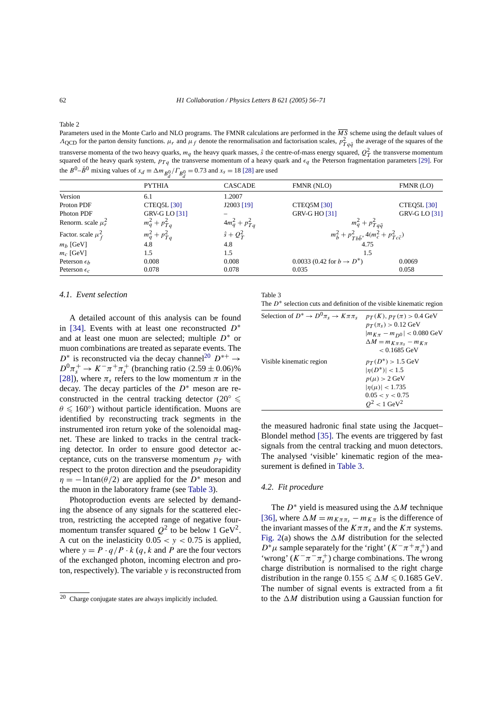<span id="page-7-0"></span>Table 2

Parameters used in the Monte Carlo and NLO programs. The FMNR calculations are performed in the  $\overline{MS}$  scheme using the default values of  $Λ$ <sub>QCD</sub> for the parton density functions. *μ<sub>r</sub>* and *μ<sub>f</sub>* denote the renormalisation and factorisation scales,  $p_{Tq\bar{q}}^2$  the average of the squares of the transverse momenta of the two heavy quarks,  $m_q$  the heavy quark masses,  $\hat{s}$  the centre-of-mass energy squared,  $Q_T^2$  the transverse momentum squared of the heavy quark system,  $p_{Tq}$  the transverse momentum of a heavy quark and  $\epsilon_q$  the Peterson fragmentation parameters [\[29\].](#page-15-0) For the  $B^0 - \bar{B}^0$  mixing values of  $x_d \equiv \Delta m_{B_d^0} / \Gamma_{B_d^0} = 0.73$  and  $x_s = 18$  [\[28\]](#page-15-0) are used

|                         | $\boldsymbol{u}$<br>$\boldsymbol{u}$ |                     |                                                          |                      |
|-------------------------|--------------------------------------|---------------------|----------------------------------------------------------|----------------------|
|                         | <b>PYTHIA</b>                        | CASCADE             | <b>FMNR</b> (NLO)                                        | FMNR (LO)            |
| Version                 | 6.1                                  | 1.2007              |                                                          |                      |
| Proton PDF              | <b>CTEQ5L</b> [30]                   | J2003 [19]          | <b>CTEQ5M [30]</b>                                       | <b>CTEQ5L</b> [30]   |
| Photon PDF              | <b>GRV-G LO [31]</b>                 |                     | <b>GRV-G HO [31]</b>                                     | <b>GRV-G LO [31]</b> |
| Renorm. scale $\mu_r^2$ | $m_q^2 + p_{Tq}^2$                   | $4m_q^2 + p_{Tq}^2$ | $m_q^2 + p_{Tq\bar{q}}^2$                                |                      |
| Factor. scale $\mu_f^2$ | $m_q^2 + p_{Tq}^2$                   | $\hat{s} + Q_T^2$   | $m_b^2 + p_{Tb\bar{b}}^2$ , $4(m_c^2 + p_{Tc\bar{c}}^2)$ |                      |
| $m_b$ [GeV]             | 4.8                                  | 4.8                 | 4.75                                                     |                      |
| $m_c$ [GeV]             | 1.5                                  | 1.5                 | 1.5                                                      |                      |
| Peterson $\epsilon_h$   | 0.008                                | 0.008               | 0.0033 (0.42 for $b \to D^*$ )                           | 0.0069               |
| Peterson $\epsilon_c$   | 0.078                                | 0.078               | 0.035                                                    | 0.058                |
|                         |                                      |                     |                                                          |                      |

# *4.1. Event selection*

A detailed account of this analysis can be found in [\[34\].](#page-16-0) Events with at least one reconstructed *D*∗ and at least one muon are selected; multiple *D*∗ or muon combinations are treated as separate events. The  $D^*$  is reconstructed via the decay channel<sup>20</sup>  $D^{*+} \rightarrow$  $D^0 \pi_s^+ \to K^- \pi^+ \pi_s^+$  (branching ratio  $(2.59 \pm 0.06)$ % [\[28\]\)](#page-15-0), where  $\pi_s$  refers to the low momentum  $\pi$  in the decay. The decay particles of the *D*∗ meson are reconstructed in the central tracking detector (20°  $\leq$  $\theta \le 160°$ ) without particle identification. Muons are identified by reconstructing track segments in the instrumented iron return yoke of the solenoidal magnet. These are linked to tracks in the central tracking detector. In order to ensure good detector acceptance, cuts on the transverse momentum  $p<sub>T</sub>$  with respect to the proton direction and the pseudorapidity  $\eta = -\ln \tan(\theta/2)$  are applied for the *D*<sup>\*</sup> meson and the muon in the laboratory frame (see Table 3).

Photoproduction events are selected by demanding the absence of any signals for the scattered electron, restricting the accepted range of negative fourmomentum transfer squared  $Q^2$  to be below 1 GeV<sup>2</sup>. A cut on the inelasticity  $0.05 < y < 0.75$  is applied, where  $y = P \cdot q / P \cdot k$  (*q*, *k* and *P* are the four vectors of the exchanged photon, incoming electron and proton, respectively). The variable *y* is reconstructed from Table 3

|  |  |  |  |  |  |  |  | The $D^*$ selection cuts and definition of the visible kinematic region |  |
|--|--|--|--|--|--|--|--|-------------------------------------------------------------------------|--|
|--|--|--|--|--|--|--|--|-------------------------------------------------------------------------|--|

| Selection of $D^* \to D^0 \pi_s \to K \pi \pi_s$ | $p_T(K), p_T(\pi) > 0.4$ GeV               |
|--------------------------------------------------|--------------------------------------------|
|                                                  | $p_T(\pi_s) > 0.12 \text{ GeV}$            |
|                                                  | $ m_{K\pi} - m_{D^0}  < 0.080 \text{ GeV}$ |
|                                                  | $\Delta M = m_{K\pi\pi} - m_{K\pi}$        |
|                                                  | $< 0.1685$ GeV                             |
| Visible kinematic region                         | $p_T(D^*) > 1.5$ GeV                       |
|                                                  | $ \eta(D^*)  < 1.5$                        |
|                                                  | $p(\mu) > 2$ GeV                           |
|                                                  | $ \eta(\mu)  < 1.735$                      |
|                                                  | 0.05 < y < 0.75                            |
|                                                  | $Q^2 < 1$ GeV <sup>2</sup>                 |

the measured hadronic final state using the Jacquet– Blondel method [\[35\].](#page-16-0) The events are triggered by fast signals from the central tracking and muon detectors. The analysed 'visible' kinematic region of the measurement is defined in Table 3.

#### *4.2. Fit procedure*

The  $D^*$  yield is measured using the  $\Delta M$  technique [\[36\],](#page-16-0) where  $\Delta M = m_{K\pi\pi_s} - m_{K\pi}$  is the difference of the invariant masses of the  $K\pi\pi_s$  and the  $K\pi$  systems. [Fig. 2\(](#page-9-0)a) shows the  $\Delta M$  distribution for the selected  $D^*$  $\mu$  sample separately for the 'right' ( $K^-\pi^+\pi^+$ ) and 'wrong' ( $K^-\pi^-\pi^+_s$ ) charge combinations. The wrong charge distribution is normalised to the right charge distribution in the range  $0.155 \leq \Delta M \leq 0.1685$  GeV. The number of signal events is extracted from a fit to the  $\Delta M$  distribution using a Gaussian function for

<sup>20</sup> Charge conjugate states are always implicitly included.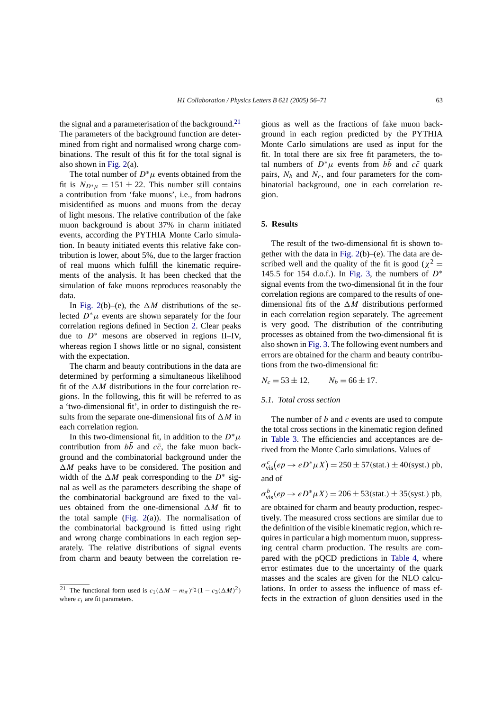the signal and a parameterisation of the background.<sup>21</sup> The parameters of the background function are determined from right and normalised wrong charge combinations. The result of this fit for the total signal is also shown in [Fig. 2\(](#page-9-0)a).

The total number of  $D^*\mu$  events obtained from the fit is  $N_{D^*\mu} = 151 \pm 22$ . This number still contains a contribution from 'fake muons', i.e., from hadrons misidentified as muons and muons from the decay of light mesons. The relative contribution of the fake muon background is about 37% in charm initiated events, according the PYTHIA Monte Carlo simulation. In beauty initiated events this relative fake contribution is lower, about 5%, due to the larger fraction of real muons which fulfill the kinematic requirements of the analysis. It has been checked that the simulation of fake muons reproduces reasonably the data.

In [Fig. 2\(](#page-9-0)b)–(e), the  $\Delta M$  distributions of the selected  $D^*$ <sub>*µ*</sub> events are shown separately for the four correlation regions defined in Section [2.](#page-4-0) Clear peaks due to *D*∗ mesons are observed in regions II–IV, whereas region I shows little or no signal, consistent with the expectation.

The charm and beauty contributions in the data are determined by performing a simultaneous likelihood fit of the  $\Delta M$  distributions in the four correlation regions. In the following, this fit will be referred to as a 'two-dimensional fit', in order to distinguish the results from the separate one-dimensional fits of  $\Delta M$  in each correlation region.

In this two-dimensional fit, in addition to the  $D^*$ µ contribution from  $b\bar{b}$  and  $c\bar{c}$ , the fake muon background and the combinatorial background under the  $\Delta M$  peaks have to be considered. The position and width of the  $\Delta M$  peak corresponding to the  $D^*$  signal as well as the parameters describing the shape of the combinatorial background are fixed to the values obtained from the one-dimensional  $\Delta M$  fit to the total sample (Fig.  $2(a)$ ). The normalisation of the combinatorial background is fitted using right and wrong charge combinations in each region separately. The relative distributions of signal events from charm and beauty between the correlation re-

gions as well as the fractions of fake muon background in each region predicted by the PYTHIA Monte Carlo simulations are used as input for the fit. In total there are six free fit parameters, the total numbers of  $D^*\mu$  events from  $b\bar{b}$  and  $c\bar{c}$  quark pairs,  $N_b$  and  $N_c$ , and four parameters for the combinatorial background, one in each correlation region.

# **5. Results**

The result of the two-dimensional fit is shown together with the data in Fig.  $2(b)$ –(e). The data are described well and the quality of the fit is good ( $\chi^2$  = 145*.*5 for 154 d.o.f.). In [Fig. 3,](#page-10-0) the numbers of *D*∗ signal events from the two-dimensional fit in the four correlation regions are compared to the results of onedimensional fits of the  $\Delta M$  distributions performed in each correlation region separately. The agreement is very good. The distribution of the contributing processes as obtained from the two-dimensional fit is also shown in [Fig. 3.](#page-10-0) The following event numbers and errors are obtained for the charm and beauty contributions from the two-dimensional fit:

$$
N_c = 53 \pm 12, \qquad N_b = 66 \pm 17.
$$

#### *5.1. Total cross section*

The number of *b* and *c* events are used to compute the total cross sections in the kinematic region defined in [Table 3.](#page-7-0) The efficiencies and acceptances are derived from the Monte Carlo simulations. Values of

$$
\sigma_{\text{vis}}^c(ep \to eD^*\mu X) = 250 \pm 57 \text{(stat.)} \pm 40 \text{(syst.) pb},
$$
  
and of

$$
\sigma_{\rm vis}^b(ep \to eD^*\mu X) = 206 \pm 53(stat.) \pm 35(syst.) \text{ pb},
$$

are obtained for charm and beauty production, respectively. The measured cross sections are similar due to the definition of the visible kinematic region, which requires in particular a high momentum muon, suppressing central charm production. The results are compared with the pQCD predictions in [Table 4,](#page-10-0) where error estimates due to the uncertainty of the quark masses and the scales are given for the NLO calculations. In order to assess the influence of mass effects in the extraction of gluon densities used in the

<sup>21</sup> The functional form used is  $c_1(\Delta M - m_\pi)^{c_2}(1 - c_3(\Delta M)^2)$ where  $c_i$  are fit parameters.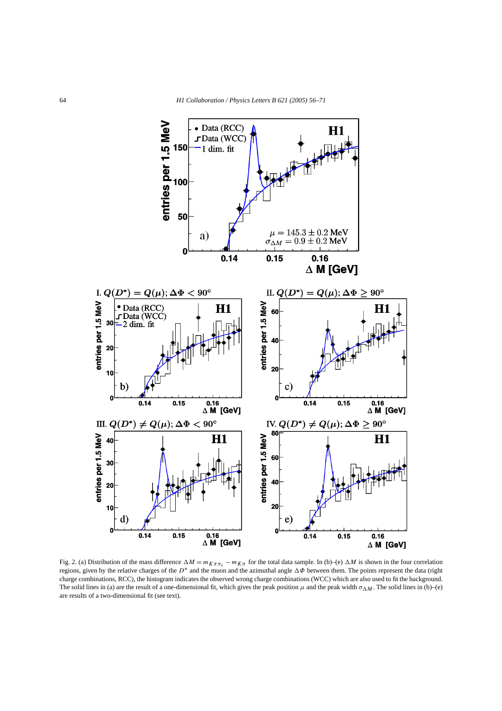<span id="page-9-0"></span>

Fig. 2. (a) Distribution of the mass difference  $\Delta M = m_{K\pi\pi_s} - m_{K\pi}$  for the total data sample. In (b)–(e)  $\Delta M$  is shown in the four correlation regions, given by the relative charges of the *D*∗ and the muon and the azimuthal angle *-Φ* between them. The points represent the data (right charge combinations, RCC), the histogram indicates the observed wrong charge combinations (WCC) which are also used to fit the background. The solid lines in (a) are the result of a one-dimensional fit, which gives the peak position  $\mu$  and the peak width  $\sigma_{\Delta M}$ . The solid lines in (b)–(e) are results of a two-dimensional fit (see text).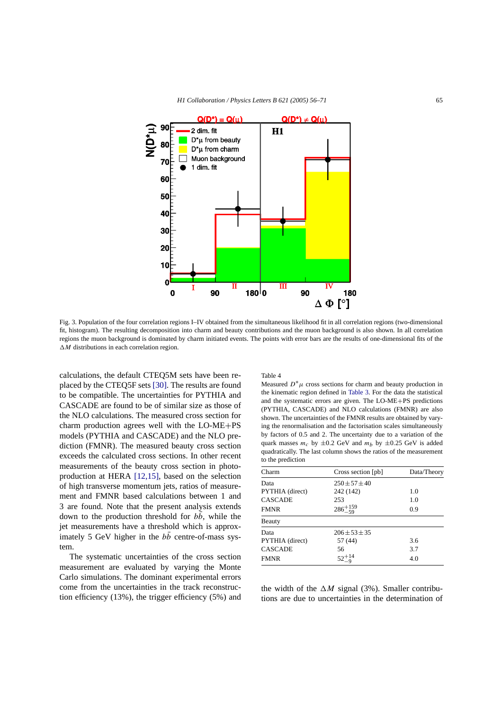<span id="page-10-0"></span>

Fig. 3. Population of the four correlation regions I–IV obtained from the simultaneous likelihood fit in all correlation regions (two-dimensional fit, histogram). The resulting decomposition into charm and beauty contributions and the muon background is also shown. In all correlation regions the muon background is dominated by charm initiated events. The points with error bars are the results of one-dimensional fits of the *-M* distributions in each correlation region.

calculations, the default CTEQ5M sets have been replaced by the CTEQ5F sets [\[30\].](#page-15-0) The results are found to be compatible. The uncertainties for PYTHIA and CASCADE are found to be of similar size as those of the NLO calculations. The measured cross section for charm production agrees well with the LO-ME+PS models (PYTHIA and CASCADE) and the NLO prediction (FMNR). The measured beauty cross section exceeds the calculated cross sections. In other recent measurements of the beauty cross section in photoproduction at HERA [\[12,15\],](#page-15-0) based on the selection of high transverse momentum jets, ratios of measurement and FMNR based calculations between 1 and 3 are found. Note that the present analysis extends down to the production threshold for  $b\bar{b}$ , while the jet measurements have a threshold which is approximately 5 GeV higher in the  $b\bar{b}$  centre-of-mass system.

The systematic uncertainties of the cross section measurement are evaluated by varying the Monte Carlo simulations. The dominant experimental errors come from the uncertainties in the track reconstruction efficiency (13%), the trigger efficiency (5%) and

#### Table 4

Measured  $D^*$ µ cross sections for charm and beauty production in the kinematic region defined in [Table 3.](#page-7-0) For the data the statistical and the systematic errors are given. The LO-ME+PS predictions (PYTHIA, CASCADE) and NLO calculations (FMNR) are also shown. The uncertainties of the FMNR results are obtained by varying the renormalisation and the factorisation scales simultaneously by factors of 0.5 and 2. The uncertainty due to a variation of the quark masses  $m_c$  by  $\pm 0.2$  GeV and  $m_b$  by  $\pm 0.25$  GeV is added quadratically. The last column shows the ratios of the measurement to the prediction

| Charm           | Cross section [pb] | Data/Theory |  |
|-----------------|--------------------|-------------|--|
| Data            | $250 + 57 + 40$    |             |  |
| PYTHIA (direct) | 242 (142)          | 1.0         |  |
| <b>CASCADE</b>  | 253                | 1.0         |  |
| <b>FMNR</b>     | $286^{+159}_{-59}$ | 0.9         |  |
| Beauty          |                    |             |  |
| Data            | $206 + 53 + 35$    |             |  |
| PYTHIA (direct) | 57 (44)            | 3.6         |  |
| <b>CASCADE</b>  | 56                 | 3.7         |  |
| <b>FMNR</b>     | $52^{+14}$         | 4.0         |  |

the width of the  $\Delta M$  signal (3%). Smaller contributions are due to uncertainties in the determination of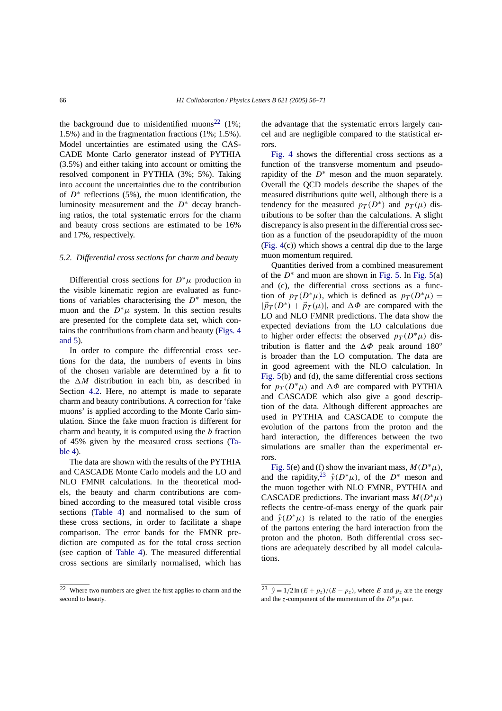the background due to misidentified muons<sup>22</sup> (1%; 1.5%) and in the fragmentation fractions (1%; 1.5%). Model uncertainties are estimated using the CAS-CADE Monte Carlo generator instead of PYTHIA (3.5%) and either taking into account or omitting the resolved component in PYTHIA (3%; 5%). Taking into account the uncertainties due to the contribution of  $D^*$  reflections (5%), the muon identification, the luminosity measurement and the *D*∗ decay branching ratios, the total systematic errors for the charm and beauty cross sections are estimated to be 16% and 17%, respectively.

# *5.2. Differential cross sections for charm and beauty*

Differential cross sections for  $D^*\mu$  production in the visible kinematic region are evaluated as functions of variables characterising the  $D^*$  meson, the muon and the  $D^*$ *u* system. In this section results are presented for the complete data set, which contains the contributions from charm and beauty [\(Figs. 4](#page-12-0) [and 5\)](#page-12-0).

In order to compute the differential cross sections for the data, the numbers of events in bins of the chosen variable are determined by a fit to the  $\Delta M$  distribution in each bin, as described in Section [4.2.](#page-7-0) Here, no attempt is made to separate charm and beauty contributions. A correction for 'fake muons' is applied according to the Monte Carlo simulation. Since the fake muon fraction is different for charm and beauty, it is computed using the *b* fraction of 45% given by the measured cross sections [\(Ta](#page-10-0)[ble 4\)](#page-10-0).

The data are shown with the results of the PYTHIA and CASCADE Monte Carlo models and the LO and NLO FMNR calculations. In the theoretical models, the beauty and charm contributions are combined according to the measured total visible cross sections [\(Table 4\)](#page-10-0) and normalised to the sum of these cross sections, in order to facilitate a shape comparison. The error bands for the FMNR prediction are computed as for the total cross section (see caption of [Table 4\)](#page-10-0). The measured differential cross sections are similarly normalised, which has

the advantage that the systematic errors largely cancel and are negligible compared to the statistical errors.

[Fig. 4](#page-12-0) shows the differential cross sections as a function of the transverse momentum and pseudorapidity of the *D*∗ meson and the muon separately. Overall the QCD models describe the shapes of the measured distributions quite well, although there is a tendency for the measured  $p_T(D^*)$  and  $p_T(\mu)$  distributions to be softer than the calculations. A slight discrepancy is also present in the differential cross section as a function of the pseudorapidity of the muon [\(Fig. 4\(](#page-12-0)c)) which shows a central dip due to the large muon momentum required.

Quantities derived from a combined measurement of the  $D^*$  and muon are shown in [Fig. 5.](#page-13-0) In [Fig. 5\(](#page-13-0)a) and (c), the differential cross sections as a function of  $p_T(D^*\mu)$ , which is defined as  $p_T(D^*\mu)$  =  $|\vec{p}_T(D^*) + \vec{p}_T(\mu)|$ , and  $\Delta \Phi$  are compared with the LO and NLO FMNR predictions. The data show the expected deviations from the LO calculations due to higher order effects: the observed  $p_T(D^*\mu)$  distribution is flatter and the  $\Delta \Phi$  peak around 180<sup>°</sup> is broader than the LO computation. The data are in good agreement with the NLO calculation. In [Fig. 5\(](#page-13-0)b) and (d), the same differential cross sections for  $p_T(D^*\mu)$  and  $\Delta\Phi$  are compared with PYTHIA and CASCADE which also give a good description of the data. Although different approaches are used in PYTHIA and CASCADE to compute the evolution of the partons from the proton and the hard interaction, the differences between the two simulations are smaller than the experimental errors.

[Fig. 5\(](#page-13-0)e) and (f) show the invariant mass,  $M(D^*\mu)$ , and the rapidity,<sup>23</sup>  $\hat{y}(D^*\mu)$ , of the  $D^*$  meson and the muon together with NLO FMNR, PYTHIA and CASCADE predictions. The invariant mass  $M(D^*\mu)$ reflects the centre-of-mass energy of the quark pair and  $\hat{v}(D^*\mu)$  is related to the ratio of the energies of the partons entering the hard interaction from the proton and the photon. Both differential cross sections are adequately described by all model calculations.

<sup>22</sup> Where two numbers are given the first applies to charm and the second to beauty.

<sup>&</sup>lt;sup>23</sup>  $\hat{y} = 1/2 \ln (E + p_z)/(E - p_z)$ , where *E* and  $p_z$  are the energy and the *z*-component of the momentum of the  $D^*$   $\mu$  pair.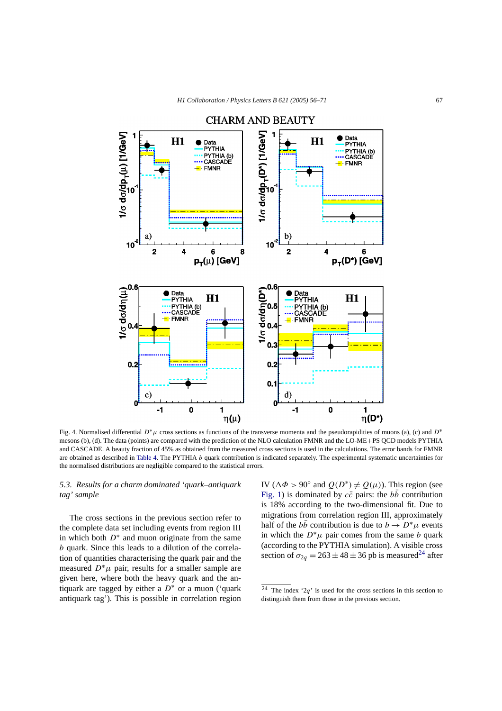<span id="page-12-0"></span>

# **CHARM AND BEAUTY**

Fig. 4. Normalised differential *D*∗*µ* cross sections as functions of the transverse momenta and the pseudorapidities of muons (a), (c) and *D*∗ mesons (b), (d). The data (points) are compared with the prediction of the NLO calculation FMNR and the LO-ME+PS QCD models PYTHIA and CASCADE. A beauty fraction of 45% as obtained from the measured cross sections is used in the calculations. The error bands for FMNR are obtained as described in [Table 4.](#page-10-0) The PYTHIA *b* quark contribution is indicated separately. The experimental systematic uncertainties for the normalised distributions are negligible compared to the statistical errors.

# *5.3. Results for a charm dominated 'quark–antiquark tag' sample*

The cross sections in the previous section refer to the complete data set including events from region III in which both  $D^*$  and muon originate from the same *b* quark. Since this leads to a dilution of the correlation of quantities characterising the quark pair and the measured  $D^*\mu$  pair, results for a smaller sample are given here, where both the heavy quark and the antiquark are tagged by either a *D*∗ or a muon ('quark antiquark tag'). This is possible in correlation region

IV ( $\Delta \Phi > 90^\circ$  and  $Q(D^*) \neq Q(\mu)$ ). This region (see [Fig. 1\)](#page-5-0) is dominated by  $c\bar{c}$  pairs: the  $b\bar{b}$  contribution is 18% according to the two-dimensional fit. Due to migrations from correlation region III, approximately half of the  $b\bar{b}$  contribution is due to  $b \to D^*\mu$  events in which the  $D^*\mu$  pair comes from the same *b* quark (according to the PYTHIA simulation). A visible cross section of  $\sigma_{2q} = 263 \pm 48 \pm 36$  pb is measured<sup>24</sup> after

<sup>&</sup>lt;sup>24</sup> The index '2*q*' is used for the cross sections in this section to distinguish them from those in the previous section.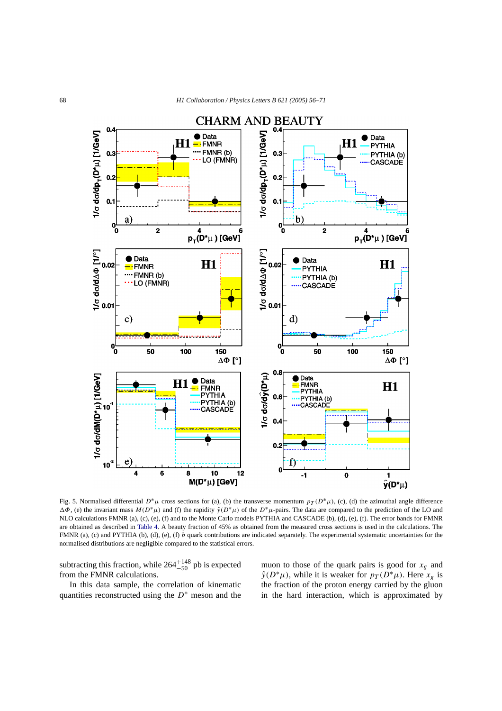<span id="page-13-0"></span>

Fig. 5. Normalised differential  $D^*\mu$  cross sections for (a), (b) the transverse momentum  $p_T(D^*\mu)$ , (c), (d) the azimuthal angle difference  $\Delta \Phi$ , (e) the invariant mass *M(D*<sup>\*</sup>*µ)* and (f) the rapidity  $\hat{y}(D^*\mu)$  of the *D*<sup>\*</sup>*µ*-pairs. The data are compared to the prediction of the LO and NLO calculations FMNR (a), (c), (e), (f) and to the Monte Carlo models PYTHIA and CASCADE (b), (d), (e), (f). The error bands for FMNR are obtained as described in [Table 4.](#page-10-0) A beauty fraction of 45% as obtained from the measured cross sections is used in the calculations. The FMNR (a), (c) and PYTHIA (b), (d), (e), (f) *b* quark contributions are indicated separately. The experimental systematic uncertainties for the normalised distributions are negligible compared to the statistical errors.

subtracting this fraction, while  $264^{+148}_{-50}$  pb is expected from the FMNR calculations.

In this data sample, the correlation of kinematic quantities reconstructed using the  $D^*$  meson and the

muon to those of the quark pairs is good for  $x_g$  and  $\hat{y}(D^*\mu)$ , while it is weaker for  $p_T(D^*\mu)$ . Here  $x_g$  is the fraction of the proton energy carried by the gluon in the hard interaction, which is approximated by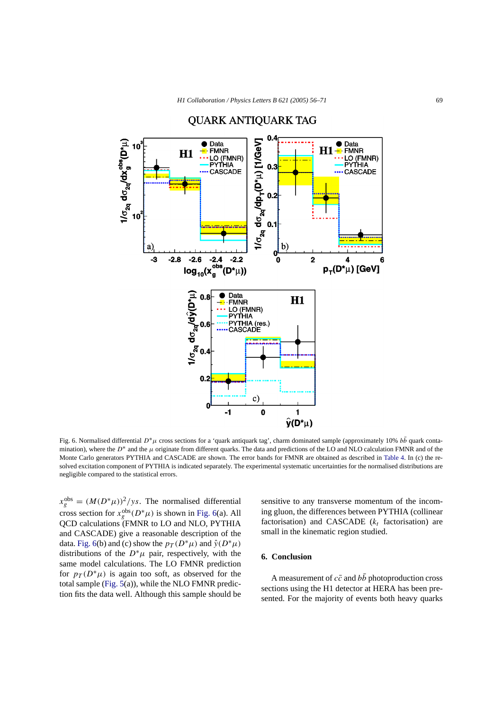

# **QUARK ANTIQUARK TAG**

Fig. 6. Normalised differential *D*∗*µ* cross sections for a 'quark antiquark tag', charm dominated sample (approximately 10% *bb*¯ quark contamination), where the  $D^*$  and the  $\mu$  originate from different quarks. The data and predictions of the LO and NLO calculation FMNR and of the Monte Carlo generators PYTHIA and CASCADE are shown. The error bands for FMNR are obtained as described in [Table 4.](#page-10-0) In (c) the resolved excitation component of PYTHIA is indicated separately. The experimental systematic uncertainties for the normalised distributions are negligible compared to the statistical errors.

 $x_g^{\text{obs}} = (M(D^*\mu))^2 / ys$ . The normalised differential cross section for  $x_g^{\text{obs}}(D^*\mu)$  is shown in Fig. 6(a). All QCD calculations (FMNR to LO and NLO, PYTHIA and CASCADE) give a reasonable description of the data. Fig. 6(b) and (c) show the  $p_T(D^*\mu)$  and  $\hat{y}(D^*\mu)$ distributions of the  $D^*\mu$  pair, respectively, with the same model calculations. The LO FMNR prediction for  $p_T(D^*\mu)$  is again too soft, as observed for the total sample [\(Fig. 5\(](#page-13-0)a)), while the NLO FMNR prediction fits the data well. Although this sample should be

sensitive to any transverse momentum of the incoming gluon, the differences between PYTHIA (collinear factorisation) and CASCADE  $(k<sub>t</sub>$  factorisation) are small in the kinematic region studied.

# **6. Conclusion**

A measurement of  $c\bar{c}$  and  $b\bar{b}$  photoproduction cross sections using the H1 detector at HERA has been presented. For the majority of events both heavy quarks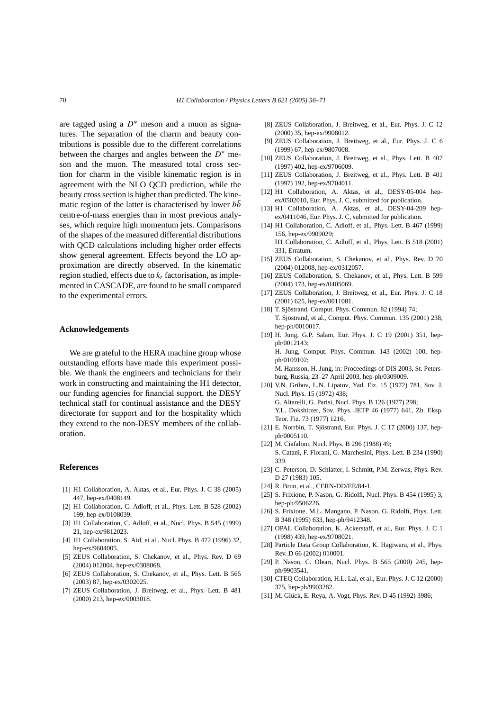<span id="page-15-0"></span>are tagged using a *D*∗ meson and a muon as signatures. The separation of the charm and beauty contributions is possible due to the different correlations between the charges and angles between the *D*∗ meson and the muon. The measured total cross section for charm in the visible kinematic region is in agreement with the NLO QCD prediction, while the beauty cross section is higher than predicted. The kinematic region of the latter is characterised by lower *bb* centre-of-mass energies than in most previous analyses, which require high momentum jets. Comparisons of the shapes of the measured differential distributions with OCD calculations including higher order effects show general agreement. Effects beyond the LO approximation are directly observed. In the kinematic region studied, effects due to  $k_t$  factorisation, as implemented in CASCADE, are found to be small compared to the experimental errors.

#### **Acknowledgements**

We are grateful to the HERA machine group whose outstanding efforts have made this experiment possible. We thank the engineers and technicians for their work in constructing and maintaining the H1 detector, our funding agencies for financial support, the DESY technical staff for continual assistance and the DESY directorate for support and for the hospitality which they extend to the non-DESY members of the collaboration.

# **References**

- [1] H1 Collaboration, A. Aktas, et al., Eur. Phys. J. C 38 (2005) 447, hep-ex/0408149.
- [2] H1 Collaboration, C. Adloff, et al., Phys. Lett. B 528 (2002) 199, hep-ex/0108039.
- [3] H1 Collaboration, C. Adloff, et al., Nucl. Phys. B 545 (1999) 21, hep-ex/9812023.
- [4] H1 Collaboration, S. Aid, et al., Nucl. Phys. B 472 (1996) 32, hep-ex/9604005.
- [5] ZEUS Collaboration, S. Chekanov, et al., Phys. Rev. D 69 (2004) 012004, hep-ex/0308068.
- [6] ZEUS Collaboration, S. Chekanov, et al., Phys. Lett. B 565 (2003) 87, hep-ex/0302025.
- [7] ZEUS Collaboration, J. Breitweg, et al., Phys. Lett. B 481 (2000) 213, hep-ex/0003018.
- [8] ZEUS Collaboration, J. Breitweg, et al., Eur. Phys. J. C 12 (2000) 35, hep-ex/9908012.
- [9] ZEUS Collaboration, J. Breitweg, et al., Eur. Phys. J. C 6 (1999) 67, hep-ex/9807008.
- [10] ZEUS Collaboration, J. Breitweg, et al., Phys. Lett. B 407 (1997) 402, hep-ex/9706009.
- [11] ZEUS Collaboration, J. Breitweg, et al., Phys. Lett. B 401 (1997) 192, hep-ex/9704011.
- [12] H1 Collaboration, A. Aktas, et al., DESY-05-004 hepex/0502010, Eur. Phys. J. C, submitted for publication.
- [13] H1 Collaboration, A. Aktas, et al., DESY-04-209 hepex/0411046, Eur. Phys. J. C, submitted for publication.
- [14] H1 Collaboration, C. Adloff, et al., Phys. Lett. B 467 (1999) 156, hep-ex/9909029; H1 Collaboration, C. Adloff, et al., Phys. Lett. B 518 (2001) 331, Erratum.
- [15] ZEUS Collaboration, S. Chekanov, et al., Phys. Rev. D 70 (2004) 012008, hep-ex/0312057.
- [16] ZEUS Collaboration, S. Chekanov, et al., Phys. Lett. B 599 (2004) 173, hep-ex/0405069.
- [17] ZEUS Collaboration, J. Breitweg, et al., Eur. Phys. J. C 18 (2001) 625, hep-ex/0011081.
- [18] T. Sjöstrand, Comput. Phys. Commun. 82 (1994) 74; T. Sjöstrand, et al., Comput. Phys. Commun. 135 (2001) 238, hep-ph/0010017.
- [19] H. Jung, G.P. Salam, Eur. Phys. J. C 19 (2001) 351, hepph/0012143; H. Jung, Comput. Phys. Commun. 143 (2002) 100, hepph/0109102; M. Hansson, H. Jung, in: Proceedings of DIS 2003, St. Petersburg, Russia, 23–27 April 2003, hep-ph/0309009.
- [20] V.N. Gribov, L.N. Lipatov, Yad. Fiz. 15 (1972) 781, Sov. J. Nucl. Phys. 15 (1972) 438; G. Altarelli, G. Parisi, Nucl. Phys. B 126 (1977) 298; Y.L. Dokshitzer, Sov. Phys. JETP 46 (1977) 641, Zh. Eksp. Teor. Fiz. 73 (1977) 1216.
- [21] E. Norrbin, T. Sjöstrand, Eur. Phys. J. C 17 (2000) 137, hepph/0005110.
- [22] M. Ciafaloni, Nucl. Phys. B 296 (1988) 49; S. Catani, F. Fiorani, G. Marchesini, Phys. Lett. B 234 (1990) 339.
- [23] C. Peterson, D. Schlatter, I. Schmitt, P.M. Zerwas, Phys. Rev. D 27 (1983) 105.
- [24] R. Brun, et al., CERN-DD/EE/84-1.
- [25] S. Frixione, P. Nason, G. Ridolfi, Nucl. Phys. B 454 (1995) 3, hep-ph/9506226.
- [26] S. Frixione, M.L. Mangano, P. Nason, G. Ridolfi, Phys. Lett. B 348 (1995) 633, hep-ph/9412348.
- [27] OPAL Collaboration, K. Ackerstaff, et al., Eur. Phys. J. C 1 (1998) 439, hep-ex/9708021.
- [28] Particle Data Group Collaboration, K. Hagiwara, et al., Phys. Rev. D 66 (2002) 010001.
- [29] P. Nason, C. Oleari, Nucl. Phys. B 565 (2000) 245, hepph/9903541.
- [30] CTEQ Collaboration, H.L. Lai, et al., Eur. Phys. J. C 12 (2000) 375, hep-ph/9903282.
- [31] M. Glück, E. Reya, A. Vogt, Phys. Rev. D 45 (1992) 3986;